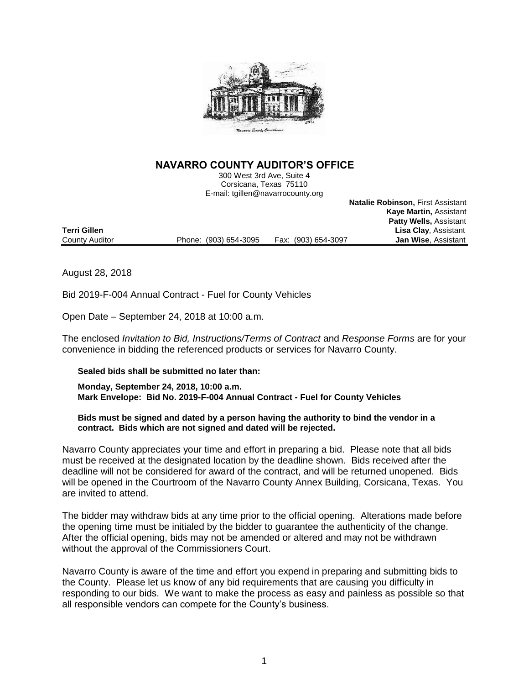

## **NAVARRO COUNTY AUDITOR'S OFFICE**

300 West 3rd Ave, Suite 4 Corsicana, Texas 75110 E-mail: tgillen@navarrocounty.org

**Natalie Robinson,** First Assistant

**Kaye Martin,** Assistant

 **Patty Wells,** Assistant **Lisa Clay, Assistant** County Auditor Phone: (903) 654-3095 Fax: (903) 654-3097 **Jan Wise**, Assistant

August 28, 2018

Bid 2019-F-004 Annual Contract - Fuel for County Vehicles

Open Date – September 24, 2018 at 10:00 a.m.

The enclosed *Invitation to Bid, Instructions/Terms of Contract* and *Response Forms* are for your convenience in bidding the referenced products or services for Navarro County.

### **Sealed bids shall be submitted no later than:**

**Monday, September 24, 2018, 10:00 a.m. Mark Envelope: Bid No. 2019-F-004 Annual Contract - Fuel for County Vehicles**

### **Bids must be signed and dated by a person having the authority to bind the vendor in a contract. Bids which are not signed and dated will be rejected.**

Navarro County appreciates your time and effort in preparing a bid. Please note that all bids must be received at the designated location by the deadline shown. Bids received after the deadline will not be considered for award of the contract, and will be returned unopened. Bids will be opened in the Courtroom of the Navarro County Annex Building, Corsicana, Texas. You are invited to attend.

The bidder may withdraw bids at any time prior to the official opening. Alterations made before the opening time must be initialed by the bidder to guarantee the authenticity of the change. After the official opening, bids may not be amended or altered and may not be withdrawn without the approval of the Commissioners Court.

Navarro County is aware of the time and effort you expend in preparing and submitting bids to the County. Please let us know of any bid requirements that are causing you difficulty in responding to our bids. We want to make the process as easy and painless as possible so that all responsible vendors can compete for the County's business.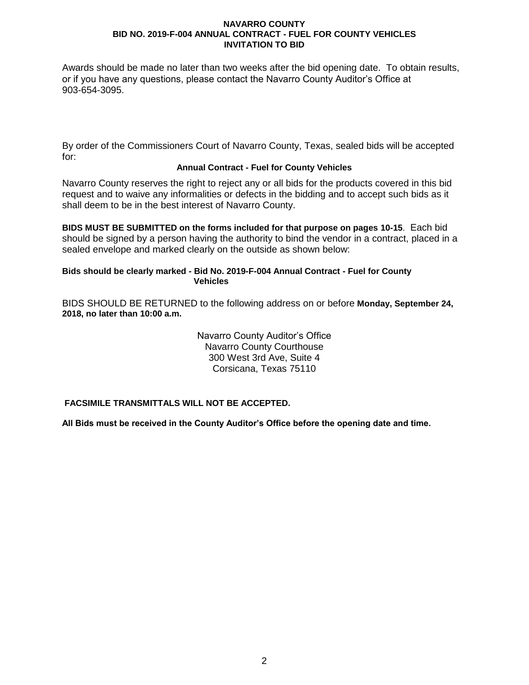Awards should be made no later than two weeks after the bid opening date. To obtain results, or if you have any questions, please contact the Navarro County Auditor's Office at 903-654-3095.

By order of the Commissioners Court of Navarro County, Texas, sealed bids will be accepted for:

### **Annual Contract - Fuel for County Vehicles**

Navarro County reserves the right to reject any or all bids for the products covered in this bid request and to waive any informalities or defects in the bidding and to accept such bids as it shall deem to be in the best interest of Navarro County.

**BIDS MUST BE SUBMITTED on the forms included for that purpose on pages 10-15**. Each bid should be signed by a person having the authority to bind the vendor in a contract, placed in a sealed envelope and marked clearly on the outside as shown below:

### **Bids should be clearly marked - Bid No. 2019-F-004 Annual Contract - Fuel for County Vehicles**

BIDS SHOULD BE RETURNED to the following address on or before **Monday, September 24, 2018, no later than 10:00 a.m.**

> Navarro County Auditor's Office Navarro County Courthouse 300 West 3rd Ave, Suite 4 Corsicana, Texas 75110

**FACSIMILE TRANSMITTALS WILL NOT BE ACCEPTED.**

**All Bids must be received in the County Auditor's Office before the opening date and time.**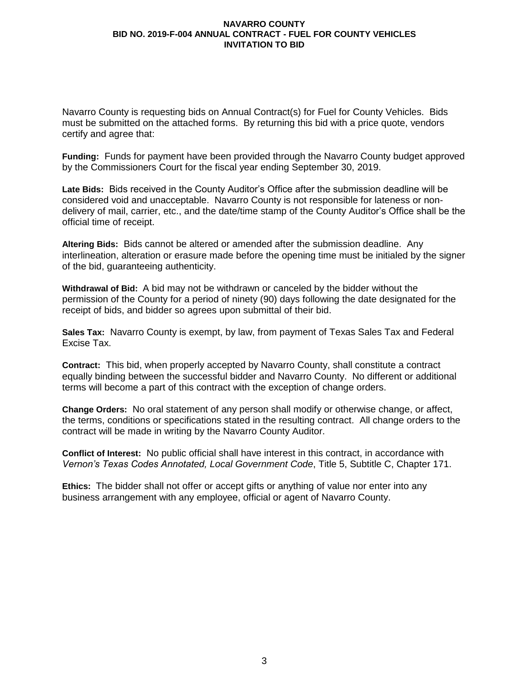Navarro County is requesting bids on Annual Contract(s) for Fuel for County Vehicles. Bids must be submitted on the attached forms. By returning this bid with a price quote, vendors certify and agree that:

**Funding:** Funds for payment have been provided through the Navarro County budget approved by the Commissioners Court for the fiscal year ending September 30, 2019.

**Late Bids:** Bids received in the County Auditor's Office after the submission deadline will be considered void and unacceptable. Navarro County is not responsible for lateness or nondelivery of mail, carrier, etc., and the date/time stamp of the County Auditor's Office shall be the official time of receipt.

**Altering Bids:** Bids cannot be altered or amended after the submission deadline. Any interlineation, alteration or erasure made before the opening time must be initialed by the signer of the bid, guaranteeing authenticity.

**Withdrawal of Bid:** A bid may not be withdrawn or canceled by the bidder without the permission of the County for a period of ninety (90) days following the date designated for the receipt of bids, and bidder so agrees upon submittal of their bid.

**Sales Tax:** Navarro County is exempt, by law, from payment of Texas Sales Tax and Federal Excise Tax.

**Contract:** This bid, when properly accepted by Navarro County, shall constitute a contract equally binding between the successful bidder and Navarro County. No different or additional terms will become a part of this contract with the exception of change orders.

**Change Orders:** No oral statement of any person shall modify or otherwise change, or affect, the terms, conditions or specifications stated in the resulting contract. All change orders to the contract will be made in writing by the Navarro County Auditor.

**Conflict of Interest:** No public official shall have interest in this contract, in accordance with *Vernon's Texas Codes Annotated, Local Government Code*, Title 5, Subtitle C, Chapter 171.

**Ethics:** The bidder shall not offer or accept gifts or anything of value nor enter into any business arrangement with any employee, official or agent of Navarro County.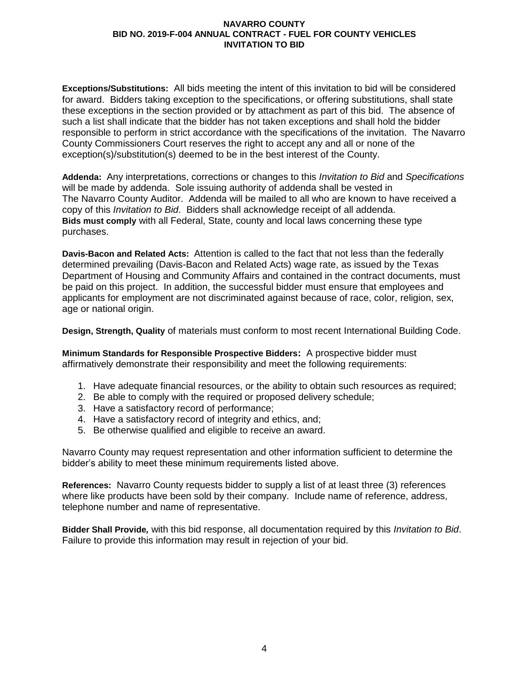**Exceptions/Substitutions:** All bids meeting the intent of this invitation to bid will be considered for award. Bidders taking exception to the specifications, or offering substitutions, shall state these exceptions in the section provided or by attachment as part of this bid. The absence of such a list shall indicate that the bidder has not taken exceptions and shall hold the bidder responsible to perform in strict accordance with the specifications of the invitation. The Navarro County Commissioners Court reserves the right to accept any and all or none of the exception(s)/substitution(s) deemed to be in the best interest of the County.

**Addenda:** Any interpretations, corrections or changes to this *Invitation to Bid* and *Specifications* will be made by addenda. Sole issuing authority of addenda shall be vested in The Navarro County Auditor. Addenda will be mailed to all who are known to have received a copy of this *Invitation to Bid*. Bidders shall acknowledge receipt of all addenda. **Bids must comply** with all Federal, State, county and local laws concerning these type purchases.

**Davis-Bacon and Related Acts:**Attention is called to the fact that not less than the federally determined prevailing (Davis-Bacon and Related Acts) wage rate, as issued by the Texas Department of Housing and Community Affairs and contained in the contract documents, must be paid on this project. In addition, the successful bidder must ensure that employees and applicants for employment are not discriminated against because of race, color, religion, sex, age or national origin.

**Design, Strength, Quality** of materials must conform to most recent International Building Code.

**Minimum Standards for Responsible Prospective Bidders:** A prospective bidder must affirmatively demonstrate their responsibility and meet the following requirements:

- 1. Have adequate financial resources, or the ability to obtain such resources as required;
- 2. Be able to comply with the required or proposed delivery schedule;
- 3. Have a satisfactory record of performance;
- 4. Have a satisfactory record of integrity and ethics, and;
- 5. Be otherwise qualified and eligible to receive an award.

Navarro County may request representation and other information sufficient to determine the bidder's ability to meet these minimum requirements listed above.

**References:** Navarro County requests bidder to supply a list of at least three (3) references where like products have been sold by their company. Include name of reference, address, telephone number and name of representative.

**Bidder Shall Provide***,* with this bid response, all documentation required by this *Invitation to Bid*. Failure to provide this information may result in rejection of your bid.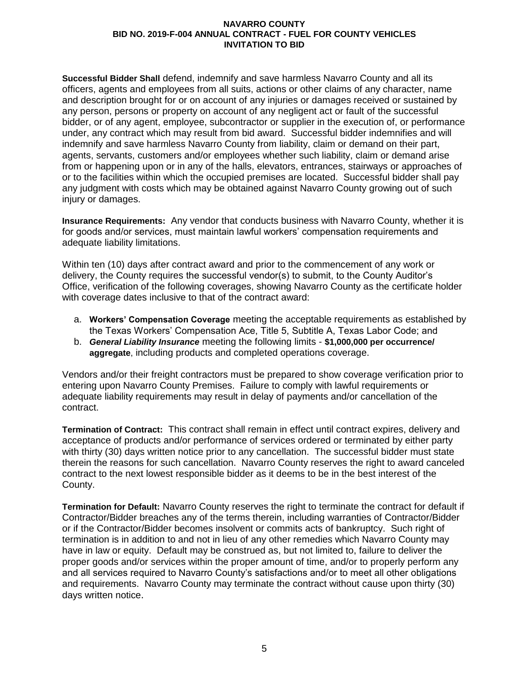**Successful Bidder Shall** defend, indemnify and save harmless Navarro County and all its officers, agents and employees from all suits, actions or other claims of any character, name and description brought for or on account of any injuries or damages received or sustained by any person, persons or property on account of any negligent act or fault of the successful bidder, or of any agent, employee, subcontractor or supplier in the execution of, or performance under, any contract which may result from bid award. Successful bidder indemnifies and will indemnify and save harmless Navarro County from liability, claim or demand on their part, agents, servants, customers and/or employees whether such liability, claim or demand arise from or happening upon or in any of the halls, elevators, entrances, stairways or approaches of or to the facilities within which the occupied premises are located. Successful bidder shall pay any judgment with costs which may be obtained against Navarro County growing out of such injury or damages.

**Insurance Requirements:** Any vendor that conducts business with Navarro County, whether it is for goods and/or services, must maintain lawful workers' compensation requirements and adequate liability limitations.

Within ten (10) days after contract award and prior to the commencement of any work or delivery, the County requires the successful vendor(s) to submit, to the County Auditor's Office, verification of the following coverages, showing Navarro County as the certificate holder with coverage dates inclusive to that of the contract award:

- a. **Workers' Compensation Coverage** meeting the acceptable requirements as established by the Texas Workers' Compensation Ace, Title 5, Subtitle A, Texas Labor Code; and
- b. *General Liability Insurance* meeting the following limits **\$1,000,000 per occurrence/ aggregate**, including products and completed operations coverage.

Vendors and/or their freight contractors must be prepared to show coverage verification prior to entering upon Navarro County Premises. Failure to comply with lawful requirements or adequate liability requirements may result in delay of payments and/or cancellation of the contract.

**Termination of Contract:** This contract shall remain in effect until contract expires, delivery and acceptance of products and/or performance of services ordered or terminated by either party with thirty (30) days written notice prior to any cancellation. The successful bidder must state therein the reasons for such cancellation. Navarro County reserves the right to award canceled contract to the next lowest responsible bidder as it deems to be in the best interest of the County.

**Termination for Default:** Navarro County reserves the right to terminate the contract for default if Contractor/Bidder breaches any of the terms therein, including warranties of Contractor/Bidder or if the Contractor/Bidder becomes insolvent or commits acts of bankruptcy. Such right of termination is in addition to and not in lieu of any other remedies which Navarro County may have in law or equity. Default may be construed as, but not limited to, failure to deliver the proper goods and/or services within the proper amount of time, and/or to properly perform any and all services required to Navarro County's satisfactions and/or to meet all other obligations and requirements. Navarro County may terminate the contract without cause upon thirty (30) days written notice.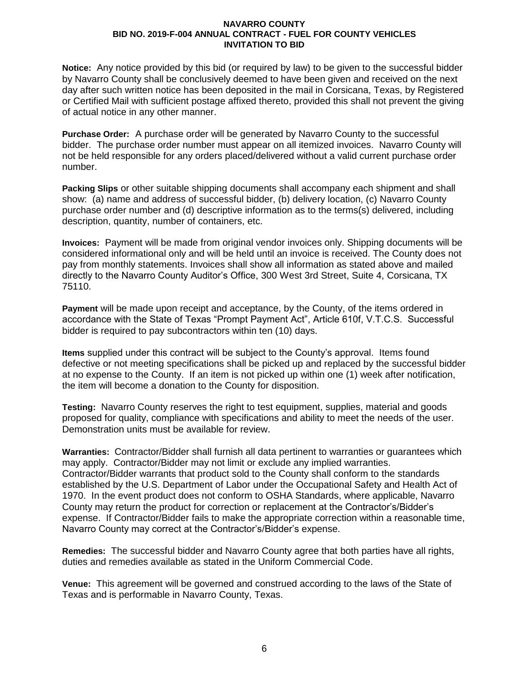**Notice:** Any notice provided by this bid (or required by law) to be given to the successful bidder by Navarro County shall be conclusively deemed to have been given and received on the next day after such written notice has been deposited in the mail in Corsicana, Texas, by Registered or Certified Mail with sufficient postage affixed thereto, provided this shall not prevent the giving of actual notice in any other manner.

**Purchase Order:** A purchase order will be generated by Navarro County to the successful bidder. The purchase order number must appear on all itemized invoices. Navarro County will not be held responsible for any orders placed/delivered without a valid current purchase order number.

**Packing Slips** or other suitable shipping documents shall accompany each shipment and shall show: (a) name and address of successful bidder, (b) delivery location, (c) Navarro County purchase order number and (d) descriptive information as to the terms(s) delivered, including description, quantity, number of containers, etc.

**Invoices:**Payment will be made from original vendor invoices only. Shipping documents will be considered informational only and will be held until an invoice is received. The County does not pay from monthly statements. Invoices shall show all information as stated above and mailed directly to the Navarro County Auditor's Office, 300 West 3rd Street, Suite 4, Corsicana, TX 75110.

**Payment** will be made upon receipt and acceptance, by the County, of the items ordered in accordance with the State of Texas "Prompt Payment Act", Article 610f, V.T.C.S. Successful bidder is required to pay subcontractors within ten (10) days.

**Items** supplied under this contract will be subject to the County's approval. Items found defective or not meeting specifications shall be picked up and replaced by the successful bidder at no expense to the County. If an item is not picked up within one (1) week after notification, the item will become a donation to the County for disposition.

**Testing:** Navarro County reserves the right to test equipment, supplies, material and goods proposed for quality, compliance with specifications and ability to meet the needs of the user. Demonstration units must be available for review.

**Warranties:** Contractor/Bidder shall furnish all data pertinent to warranties or guarantees which may apply. Contractor/Bidder may not limit or exclude any implied warranties. Contractor/Bidder warrants that product sold to the County shall conform to the standards established by the U.S. Department of Labor under the Occupational Safety and Health Act of 1970. In the event product does not conform to OSHA Standards, where applicable, Navarro County may return the product for correction or replacement at the Contractor's/Bidder's expense. If Contractor/Bidder fails to make the appropriate correction within a reasonable time, Navarro County may correct at the Contractor's/Bidder's expense.

**Remedies:** The successful bidder and Navarro County agree that both parties have all rights, duties and remedies available as stated in the Uniform Commercial Code.

**Venue:** This agreement will be governed and construed according to the laws of the State of Texas and is performable in Navarro County, Texas.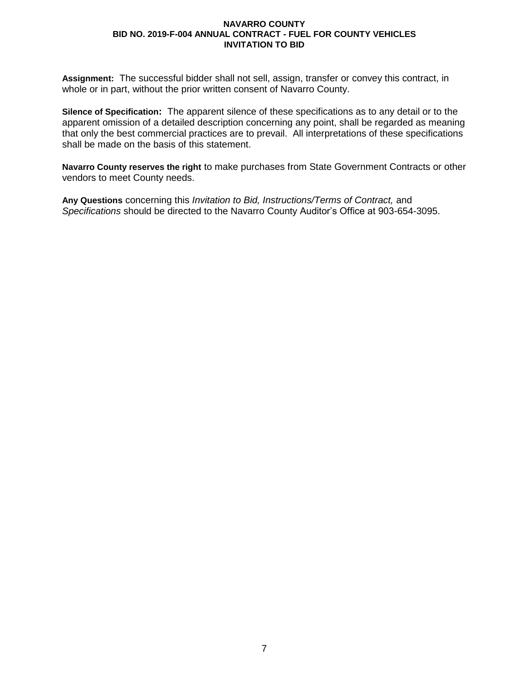**Assignment:** The successful bidder shall not sell, assign, transfer or convey this contract, in whole or in part, without the prior written consent of Navarro County.

**Silence of Specification:** The apparent silence of these specifications as to any detail or to the apparent omission of a detailed description concerning any point, shall be regarded as meaning that only the best commercial practices are to prevail. All interpretations of these specifications shall be made on the basis of this statement.

**Navarro County reserves the right** to make purchases from State Government Contracts or other vendors to meet County needs.

**Any Questions** concerning this *Invitation to Bid, Instructions/Terms of Contract,* and *Specifications* should be directed to the Navarro County Auditor's Office at 903-654-3095.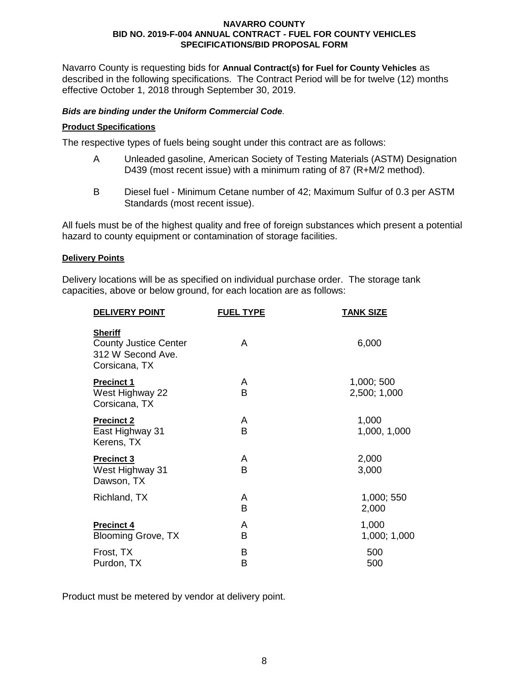Navarro County is requesting bids for **Annual Contract(s) for Fuel for County Vehicles** as described in the following specifications. The Contract Period will be for twelve (12) months effective October 1, 2018 through September 30, 2019.

### *Bids are binding under the Uniform Commercial Code.*

### **Product Specifications**

The respective types of fuels being sought under this contract are as follows:

- A Unleaded gasoline, American Society of Testing Materials (ASTM) Designation D439 (most recent issue) with a minimum rating of 87 (R+M/2 method).
- B Diesel fuel Minimum Cetane number of 42; Maximum Sulfur of 0.3 per ASTM Standards (most recent issue).

All fuels must be of the highest quality and free of foreign substances which present a potential hazard to county equipment or contamination of storage facilities.

#### **Delivery Points**

Delivery locations will be as specified on individual purchase order. The storage tank capacities, above or below ground, for each location are as follows:

| <b>DELIVERY POINT</b>                                                                | <b>FUEL TYPE</b> | <b>TANK SIZE</b>           |
|--------------------------------------------------------------------------------------|------------------|----------------------------|
| <b>Sheriff</b><br><b>County Justice Center</b><br>312 W Second Ave.<br>Corsicana, TX | A                | 6,000                      |
| <b>Precinct 1</b><br>West Highway 22<br>Corsicana, TX                                | A<br>B           | 1,000; 500<br>2,500; 1,000 |
| <b>Precinct 2</b><br>East Highway 31<br>Kerens, TX                                   | A<br>B           | 1,000<br>1,000, 1,000      |
| <b>Precinct 3</b><br>West Highway 31<br>Dawson, TX                                   | A<br>В           | 2,000<br>3,000             |
| Richland, TX                                                                         | A<br>В           | 1,000; 550<br>2,000        |
| <b>Precinct 4</b><br>Blooming Grove, TX                                              | A<br>В           | 1,000<br>1,000; 1,000      |
| Frost, TX<br>Purdon, TX                                                              | В<br>в           | 500<br>500                 |
|                                                                                      |                  |                            |

Product must be metered by vendor at delivery point.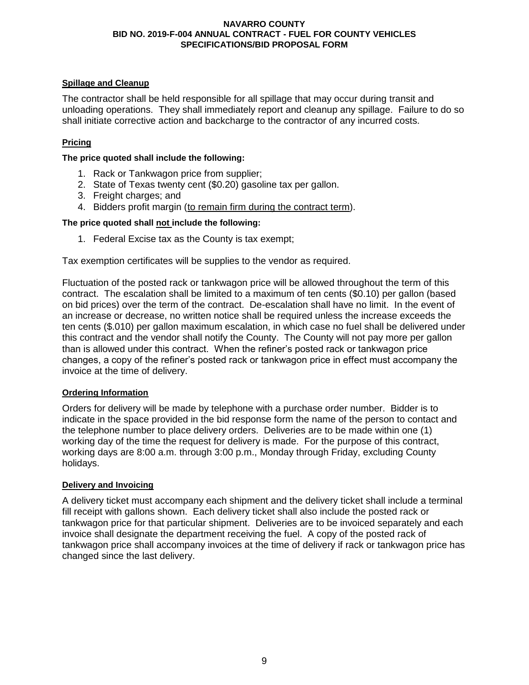### **Spillage and Cleanup**

The contractor shall be held responsible for all spillage that may occur during transit and unloading operations. They shall immediately report and cleanup any spillage. Failure to do so shall initiate corrective action and backcharge to the contractor of any incurred costs.

### **Pricing**

**The price quoted shall include the following:**

- 1. Rack or Tankwagon price from supplier;
- 2. State of Texas twenty cent (\$0.20) gasoline tax per gallon.
- 3. Freight charges; and
- 4. Bidders profit margin (to remain firm during the contract term).

### **The price quoted shall not include the following:**

1. Federal Excise tax as the County is tax exempt;

Tax exemption certificates will be supplies to the vendor as required.

Fluctuation of the posted rack or tankwagon price will be allowed throughout the term of this contract. The escalation shall be limited to a maximum of ten cents (\$0.10) per gallon (based on bid prices) over the term of the contract. De-escalation shall have no limit. In the event of an increase or decrease, no written notice shall be required unless the increase exceeds the ten cents (\$.010) per gallon maximum escalation, in which case no fuel shall be delivered under this contract and the vendor shall notify the County. The County will not pay more per gallon than is allowed under this contract. When the refiner's posted rack or tankwagon price changes, a copy of the refiner's posted rack or tankwagon price in effect must accompany the invoice at the time of delivery.

### **Ordering Information**

Orders for delivery will be made by telephone with a purchase order number. Bidder is to indicate in the space provided in the bid response form the name of the person to contact and the telephone number to place delivery orders. Deliveries are to be made within one (1) working day of the time the request for delivery is made. For the purpose of this contract, working days are 8:00 a.m. through 3:00 p.m., Monday through Friday, excluding County holidays.

### **Delivery and Invoicing**

A delivery ticket must accompany each shipment and the delivery ticket shall include a terminal fill receipt with gallons shown. Each delivery ticket shall also include the posted rack or tankwagon price for that particular shipment. Deliveries are to be invoiced separately and each invoice shall designate the department receiving the fuel. A copy of the posted rack of tankwagon price shall accompany invoices at the time of delivery if rack or tankwagon price has changed since the last delivery.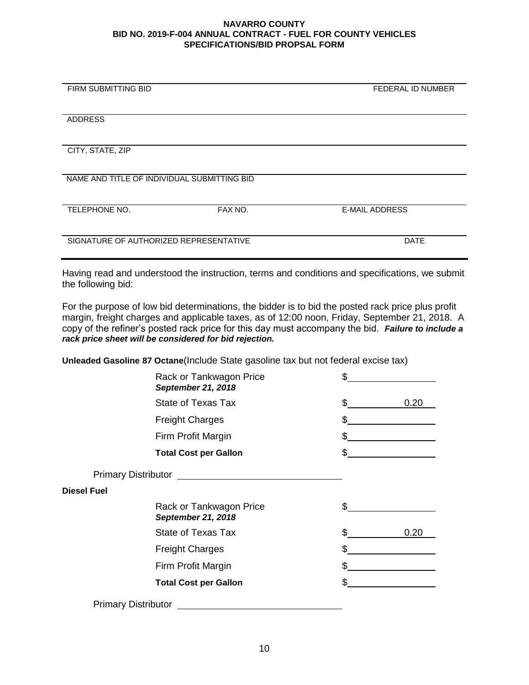| <b>FIRM SUBMITTING BID</b>                  |         | FEDERAL ID NUMBER     |
|---------------------------------------------|---------|-----------------------|
|                                             |         |                       |
|                                             |         |                       |
|                                             |         |                       |
| <b>ADDRESS</b>                              |         |                       |
|                                             |         |                       |
|                                             |         |                       |
| CITY, STATE, ZIP                            |         |                       |
|                                             |         |                       |
|                                             |         |                       |
| NAME AND TITLE OF INDIVIDUAL SUBMITTING BID |         |                       |
|                                             |         |                       |
|                                             |         |                       |
|                                             |         |                       |
| <b>TELEPHONE NO.</b>                        | FAX NO. | <b>E-MAIL ADDRESS</b> |
|                                             |         |                       |
|                                             |         |                       |
| SIGNATURE OF AUTHORIZED REPRESENTATIVE      |         | <b>DATE</b>           |
|                                             |         |                       |
|                                             |         |                       |

Having read and understood the instruction, terms and conditions and specifications, we submit the following bid:

For the purpose of low bid determinations, the bidder is to bid the posted rack price plus profit margin, freight charges and applicable taxes, as of 12:00 noon, Friday, September 21, 2018. A copy of the refiner's posted rack price for this day must accompany the bid. *Failure to include a rack price sheet will be considered for bid rejection.*

**Unleaded Gasoline 87 Octane**(Include State gasoline tax but not federal excise tax)

|                            | Rack or Tankwagon Price<br><b>September 21, 2018</b>                                                                                                                                                                                 | \$         |
|----------------------------|--------------------------------------------------------------------------------------------------------------------------------------------------------------------------------------------------------------------------------------|------------|
|                            | State of Texas Tax                                                                                                                                                                                                                   | \$<br>0.20 |
|                            | <b>Freight Charges</b>                                                                                                                                                                                                               | \$         |
|                            | Firm Profit Margin                                                                                                                                                                                                                   | \$         |
|                            | <b>Total Cost per Gallon</b>                                                                                                                                                                                                         | \$         |
|                            | Primary Distributor <u>example and the set of the set of the set of the set of the set of the set of the set of the set of the set of the set of the set of the set of the set of the set of the set of the set of the set of th</u> |            |
| <b>Diesel Fuel</b>         |                                                                                                                                                                                                                                      |            |
|                            | Rack or Tankwagon Price<br><b>September 21, 2018</b>                                                                                                                                                                                 | \$         |
|                            | State of Texas Tax                                                                                                                                                                                                                   | \$<br>0.20 |
|                            | <b>Freight Charges</b>                                                                                                                                                                                                               | \$         |
|                            | Firm Profit Margin                                                                                                                                                                                                                   | \$         |
|                            | <b>Total Cost per Gallon</b>                                                                                                                                                                                                         | \$         |
| <b>Primary Distributor</b> |                                                                                                                                                                                                                                      |            |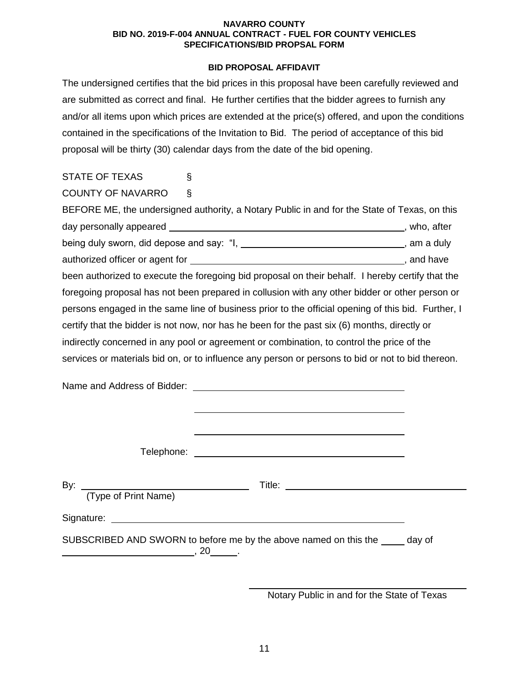### **BID PROPOSAL AFFIDAVIT**

The undersigned certifies that the bid prices in this proposal have been carefully reviewed and are submitted as correct and final. He further certifies that the bidder agrees to furnish any and/or all items upon which prices are extended at the price(s) offered, and upon the conditions contained in the specifications of the Invitation to Bid. The period of acceptance of this bid proposal will be thirty (30) calendar days from the date of the bid opening.

| <b>STATE OF TEXAS</b>       | S                                                                                                              |  |
|-----------------------------|----------------------------------------------------------------------------------------------------------------|--|
| <b>COUNTY OF NAVARRO</b>    | Ş                                                                                                              |  |
|                             | BEFORE ME, the undersigned authority, a Notary Public in and for the State of Texas, on this                   |  |
|                             |                                                                                                                |  |
|                             | being duly sworn, did depose and say: "I, _________________________________, am a duly                         |  |
|                             |                                                                                                                |  |
|                             | been authorized to execute the foregoing bid proposal on their behalf. I hereby certify that the               |  |
|                             | foregoing proposal has not been prepared in collusion with any other bidder or other person or                 |  |
|                             | persons engaged in the same line of business prior to the official opening of this bid. Further, I             |  |
|                             | certify that the bidder is not now, nor has he been for the past six (6) months, directly or                   |  |
|                             | indirectly concerned in any pool or agreement or combination, to control the price of the                      |  |
|                             | services or materials bid on, or to influence any person or persons to bid or not to bid thereon.              |  |
|                             |                                                                                                                |  |
|                             |                                                                                                                |  |
|                             |                                                                                                                |  |
|                             |                                                                                                                |  |
|                             | Telephone: The contract of the contract of the contract of the contract of the contract of the contract of the |  |
|                             |                                                                                                                |  |
| By:<br>(Type of Print Name) |                                                                                                                |  |
|                             |                                                                                                                |  |

Signature:

SUBSCRIBED AND SWORN to before me by the above named on this the wag of ,  $20$   $30$ 

Notary Public in and for the State of Texas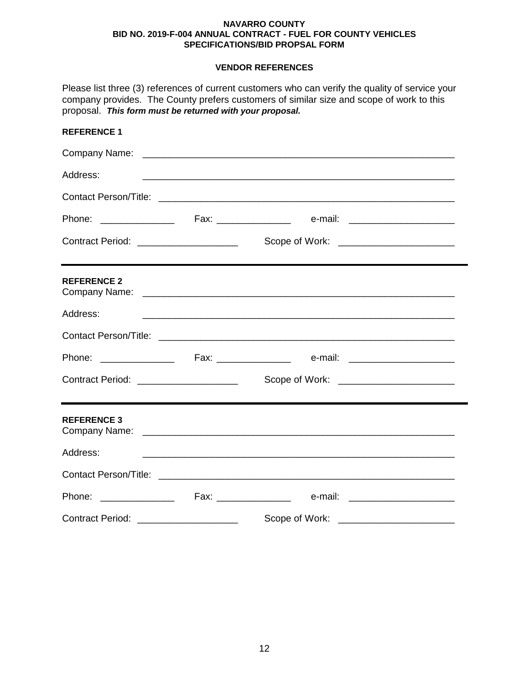### **VENDOR REFERENCES**

| proposal. This form must be returned with your proposal. | Please list three (3) references of current customers who can verify the quality of service your<br>company provides. The County prefers customers of similar size and scope of work to this |  |
|----------------------------------------------------------|----------------------------------------------------------------------------------------------------------------------------------------------------------------------------------------------|--|
| <b>REFERENCE 1</b>                                       |                                                                                                                                                                                              |  |
|                                                          |                                                                                                                                                                                              |  |
| Address:                                                 | <u> 1989 - Johann Stoff, amerikansk politiker (d. 1989)</u>                                                                                                                                  |  |
|                                                          |                                                                                                                                                                                              |  |
|                                                          |                                                                                                                                                                                              |  |
| Contract Period: ______________________                  |                                                                                                                                                                                              |  |
| <b>REFERENCE 2</b>                                       |                                                                                                                                                                                              |  |
| Address:                                                 | <u> 1989 - Johann Stoff, deutscher Stoff, der Stoff, der Stoff, der Stoff, der Stoff, der Stoff, der Stoff, der S</u>                                                                        |  |
|                                                          |                                                                                                                                                                                              |  |
|                                                          |                                                                                                                                                                                              |  |
| Contract Period: ______________________                  |                                                                                                                                                                                              |  |
| <b>REFERENCE 3</b>                                       |                                                                                                                                                                                              |  |
| Address:                                                 |                                                                                                                                                                                              |  |
|                                                          |                                                                                                                                                                                              |  |
| Phone: ________________                                  | e-mail: ________________________<br>Fax: ________________                                                                                                                                    |  |
|                                                          | Scope of Work:<br><u> 1989 - Johann John Stein, markin f</u>                                                                                                                                 |  |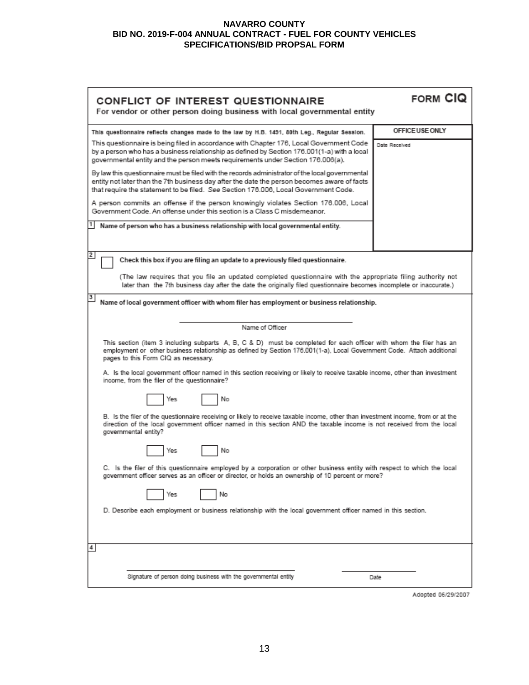| CONFLICT OF INTEREST QUESTIONNAIRE<br>For vendor or other person doing business with local governmental entity                                                                                                                                                                                                                                                                                                        | <b>FORM CIQ</b> |  |  |
|-----------------------------------------------------------------------------------------------------------------------------------------------------------------------------------------------------------------------------------------------------------------------------------------------------------------------------------------------------------------------------------------------------------------------|-----------------|--|--|
| This questionnaire reflects changes made to the law by H.B. 1491, 80th Leg., Regular Session.                                                                                                                                                                                                                                                                                                                         | OFFICE USE ONLY |  |  |
| This questionnaire is being filed in accordance with Chapter 176, Local Government Code<br>by a person who has a business relationship as defined by Section 176.001(1-a) with a local<br>governmental entity and the person meets requirements under Section 176.006(a).                                                                                                                                             | Date Received   |  |  |
| By law this questionnaire must be filed with the records administrator of the local governmental<br>entity not later than the 7th business day after the date the person becomes aware of facts<br>that require the statement to be filed. See Section 176.006, Local Government Code.                                                                                                                                |                 |  |  |
| A person commits an offense if the person knowingly violates Section 176.006, Local<br>Government Code. An offense under this section is a Class C misdemeanor.                                                                                                                                                                                                                                                       |                 |  |  |
| Name of person who has a business relationship with local governmental entity.                                                                                                                                                                                                                                                                                                                                        |                 |  |  |
| 2<br>Check this box if you are filing an update to a previously filed questionnaire.                                                                                                                                                                                                                                                                                                                                  |                 |  |  |
| (The law requires that you file an updated completed questionnaire with the appropriate filing authority not<br>later than the 7th business day after the date the originally filed questionnaire becomes incomplete or inaccurate.)                                                                                                                                                                                  |                 |  |  |
| 3<br>Name of local government officer with whom filer has employment or business relationship.                                                                                                                                                                                                                                                                                                                        |                 |  |  |
| Name of Officer                                                                                                                                                                                                                                                                                                                                                                                                       |                 |  |  |
| This section (item 3 including subparts A, B, C & D) must be completed for each officer with whom the filer has an<br>employment or other business relationship as defined by Section 176.001(1-a), Local Government Code. Attach additional<br>pages to this Form CIQ as necessary.<br>A. Is the local government officer named in this section receiving or likely to receive taxable income, other than investment |                 |  |  |
| income, from the filer of the questionnaire?<br>Yes<br>No                                                                                                                                                                                                                                                                                                                                                             |                 |  |  |
|                                                                                                                                                                                                                                                                                                                                                                                                                       |                 |  |  |
| B. Is the filer of the questionnaire receiving or likely to receive taxable income, other than investment income, from or at the<br>direction of the local government officer named in this section AND the taxable income is not received from the local<br>governmental entity?                                                                                                                                     |                 |  |  |
| No<br>Yes                                                                                                                                                                                                                                                                                                                                                                                                             |                 |  |  |
| C. Is the filer of this questionnaire employed by a corporation or other business entity with respect to which the local<br>government officer serves as an officer or director, or holds an ownership of 10 percent or more?                                                                                                                                                                                         |                 |  |  |
| No<br>Yes                                                                                                                                                                                                                                                                                                                                                                                                             |                 |  |  |
| D. Describe each employment or business relationship with the local government officer named in this section.                                                                                                                                                                                                                                                                                                         |                 |  |  |
| 4                                                                                                                                                                                                                                                                                                                                                                                                                     |                 |  |  |
| Signature of person doing business with the governmental entity                                                                                                                                                                                                                                                                                                                                                       | Date            |  |  |

Adopted 06/29/2007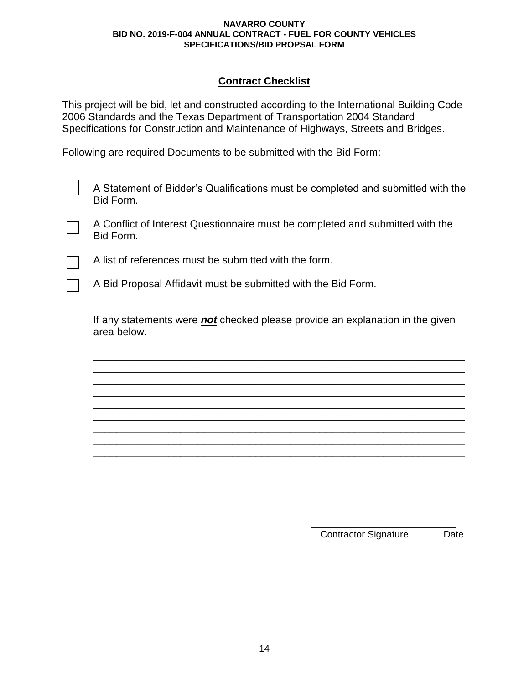## **Contract Checklist**

This project will be bid, let and constructed according to the International Building Code 2006 Standards and the Texas Department of Transportation 2004 Standard Specifications for Construction and Maintenance of Highways, Streets and Bridges.

Following are required Documents to be submitted with the Bid Form:

A Statement of Bidder's Qualifications must be completed and submitted with the Bid Form.

A Conflict of Interest Questionnaire must be completed and submitted with the Bid Form.

A list of references must be submitted with the form.

A Bid Proposal Affidavit must be submitted with the Bid Form.

If any statements were *not* checked please provide an explanation in the given area below.

\_\_\_\_\_\_\_\_\_\_\_\_\_\_\_\_\_\_\_\_\_\_\_\_\_\_\_\_\_\_\_\_\_\_\_\_\_\_\_\_\_\_\_\_\_\_\_\_\_\_\_\_\_\_\_\_\_\_\_\_\_\_\_\_ \_\_\_\_\_\_\_\_\_\_\_\_\_\_\_\_\_\_\_\_\_\_\_\_\_\_\_\_\_\_\_\_\_\_\_\_\_\_\_\_\_\_\_\_\_\_\_\_\_\_\_\_\_\_\_\_\_\_\_\_\_\_\_\_ \_\_\_\_\_\_\_\_\_\_\_\_\_\_\_\_\_\_\_\_\_\_\_\_\_\_\_\_\_\_\_\_\_\_\_\_\_\_\_\_\_\_\_\_\_\_\_\_\_\_\_\_\_\_\_\_\_\_\_\_\_\_\_\_ \_\_\_\_\_\_\_\_\_\_\_\_\_\_\_\_\_\_\_\_\_\_\_\_\_\_\_\_\_\_\_\_\_\_\_\_\_\_\_\_\_\_\_\_\_\_\_\_\_\_\_\_\_\_\_\_\_\_\_\_\_\_\_\_ \_\_\_\_\_\_\_\_\_\_\_\_\_\_\_\_\_\_\_\_\_\_\_\_\_\_\_\_\_\_\_\_\_\_\_\_\_\_\_\_\_\_\_\_\_\_\_\_\_\_\_\_\_\_\_\_\_\_\_\_\_\_\_\_ \_\_\_\_\_\_\_\_\_\_\_\_\_\_\_\_\_\_\_\_\_\_\_\_\_\_\_\_\_\_\_\_\_\_\_\_\_\_\_\_\_\_\_\_\_\_\_\_\_\_\_\_\_\_\_\_\_\_\_\_\_\_\_\_ \_\_\_\_\_\_\_\_\_\_\_\_\_\_\_\_\_\_\_\_\_\_\_\_\_\_\_\_\_\_\_\_\_\_\_\_\_\_\_\_\_\_\_\_\_\_\_\_\_\_\_\_\_\_\_\_\_\_\_\_\_\_\_\_ \_\_\_\_\_\_\_\_\_\_\_\_\_\_\_\_\_\_\_\_\_\_\_\_\_\_\_\_\_\_\_\_\_\_\_\_\_\_\_\_\_\_\_\_\_\_\_\_\_\_\_\_\_\_\_\_\_\_\_\_\_\_\_\_ \_\_\_\_\_\_\_\_\_\_\_\_\_\_\_\_\_\_\_\_\_\_\_\_\_\_\_\_\_\_\_\_\_\_\_\_\_\_\_\_\_\_\_\_\_\_\_\_\_\_\_\_\_\_\_\_\_\_\_\_\_\_\_\_

> \_\_\_\_\_\_\_\_\_\_\_\_\_\_\_\_\_\_\_\_\_\_\_\_\_ Contractor Signature Date